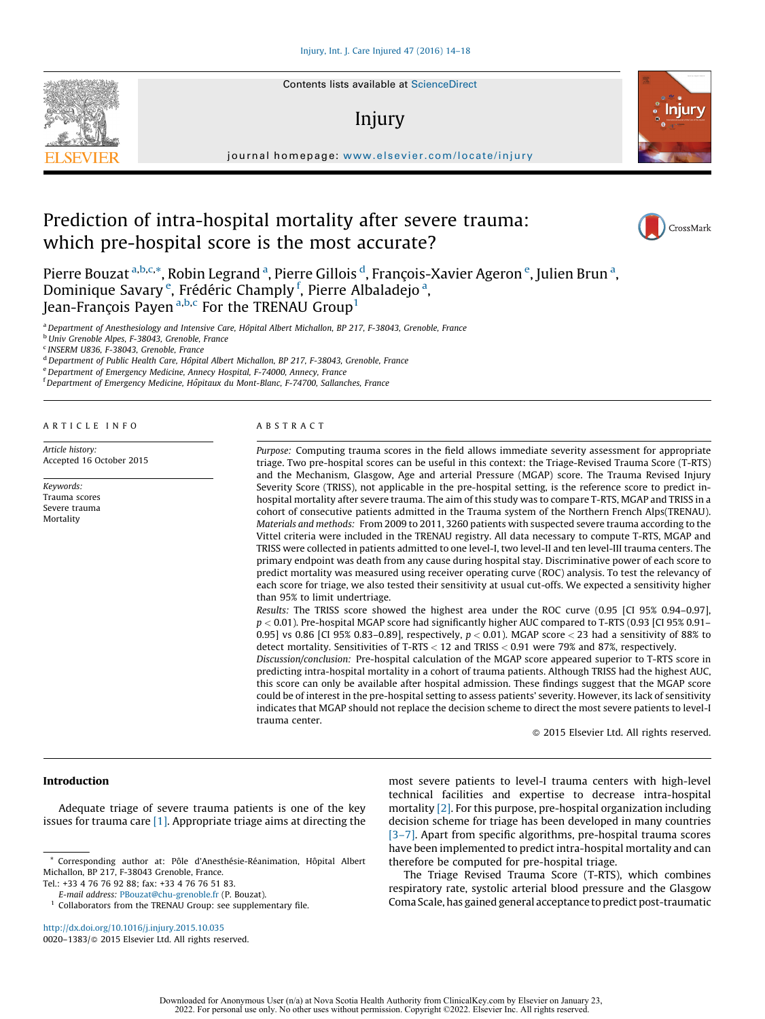Contents lists available at [ScienceDirect](http://www.sciencedirect.com/science/journal/00201383)

# Injury



## Prediction of intra-hospital mortality after severe trauma: which pre-hospital score is the most accurate?



Pierre Bouzat <sup>a,b,c,</sup>\*, Robin Legrand <sup>a</sup>, Pierre Gillois <sup>d</sup>, François-Xavier Ageron <sup>e</sup>, Julien Brun <sup>a</sup>, Dominique Savary<sup>e</sup>, Frédéric Champly<sup>f</sup>, Pierre Albaladejo<sup>a</sup>, Jean-François Payen  $a,b,c$  For the TRENAU Group<sup>1</sup>

<sup>a</sup> Department of Anesthesiology and Intensive Care, Hôpital Albert Michallon, BP 217, F-38043, Grenoble, France

**b** Univ Grenoble Alpes, F-38043, Grenoble, France

<sup>c</sup> INSERM U836, F-38043, Grenoble, France

<sup>d</sup> Department of Public Health Care, Hôpital Albert Michallon, BP 217, F-38043, Grenoble, France

<sup>e</sup> Department of Emergency Medicine, Annecy Hospital, F-74000, Annecy, France

<sup>f</sup> Department of Emergency Medicine, Hôpitaux du Mont-Blanc, F-74700, Sallanches, France

## A R T I C L E I N F O

Article history: Accepted 16 October 2015

Keywords: Trauma scores Severe trauma Mortality

## A B S T R A C T

Purpose: Computing trauma scores in the field allows immediate severity assessment for appropriate triage. Two pre-hospital scores can be useful in this context: the Triage-Revised Trauma Score (T-RTS) and the Mechanism, Glasgow, Age and arterial Pressure (MGAP) score. The Trauma Revised Injury Severity Score (TRISS), not applicable in the pre-hospital setting, is the reference score to predict inhospital mortality after severe trauma. The aim of this study was to compare T-RTS, MGAP and TRISS in a cohort of consecutive patients admitted in the Trauma system of the Northern French Alps(TRENAU). Materials and methods: From 2009 to 2011, 3260 patients with suspected severe trauma according to the Vittel criteria were included in the TRENAU registry. All data necessary to compute T-RTS, MGAP and TRISS were collected in patients admitted to one level-I, two level-II and ten level-III trauma centers. The primary endpoint was death from any cause during hospital stay. Discriminative power of each score to predict mortality was measured using receiver operating curve (ROC) analysis. To test the relevancy of each score for triage, we also tested their sensitivity at usual cut-offs. We expected a sensitivity higher than 95% to limit undertriage.

Results: The TRISS score showed the highest area under the ROC curve (0.95 [CI 95% 0.94–0.97],  $p < 0.01$ ). Pre-hospital MGAP score had significantly higher AUC compared to T-RTS (0.93 [CI 95% 0.91– 0.95] vs 0.86 [CI 95% 0.83-0.89], respectively,  $p < 0.01$ ). MGAP score  $<$  23 had a sensitivity of 88% to detect mortality. Sensitivities of T-RTS < 12 and TRISS < 0.91 were 79% and 87%, respectively.

Discussion/conclusion: Pre-hospital calculation of the MGAP score appeared superior to T-RTS score in predicting intra-hospital mortality in a cohort of trauma patients. Although TRISS had the highest AUC, this score can only be available after hospital admission. These findings suggest that the MGAP score could be of interest in the pre-hospital setting to assess patients' severity. However, its lack of sensitivity indicates that MGAP should not replace the decision scheme to direct the most severe patients to level-I trauma center.

- 2015 Elsevier Ltd. All rights reserved.

## Introduction

Adequate triage of severe trauma patients is one of the key issues for trauma care [\[1\]](#page-4-0). Appropriate triage aims at directing the

Tel.: +33 4 76 76 92 88; fax: +33 4 76 76 51 83.

most severe patients to level-I trauma centers with high-level technical facilities and expertise to decrease intra-hospital mortality [\[2\]](#page-4-0). For this purpose, pre-hospital organization including decision scheme for triage has been developed in many countries [\[3–7\]](#page-4-0). Apart from specific algorithms, pre-hospital trauma scores have been implemented to predict intra-hospital mortality and can therefore be computed for pre-hospital triage.

The Triage Revised Trauma Score (T-RTS), which combines respiratory rate, systolic arterial blood pressure and the Glasgow Coma Scale,has gained general acceptance to predict post-traumatic

 $*$  Corresponding author at: Pôle d'Anesthésie-Réanimation, Hôpital Albert Michallon, BP 217, F-38043 Grenoble, France.

E-mail address: [PBouzat@chu-grenoble.fr](mailto:PBouzat@chu-grenoble.fr) (P. Bouzat).

 $1$  Collaborators from the TRENAU Group: see supplementary file.

<http://dx.doi.org/10.1016/j.injury.2015.10.035> 0020-1383/© 2015 Elsevier Ltd. All rights reserved.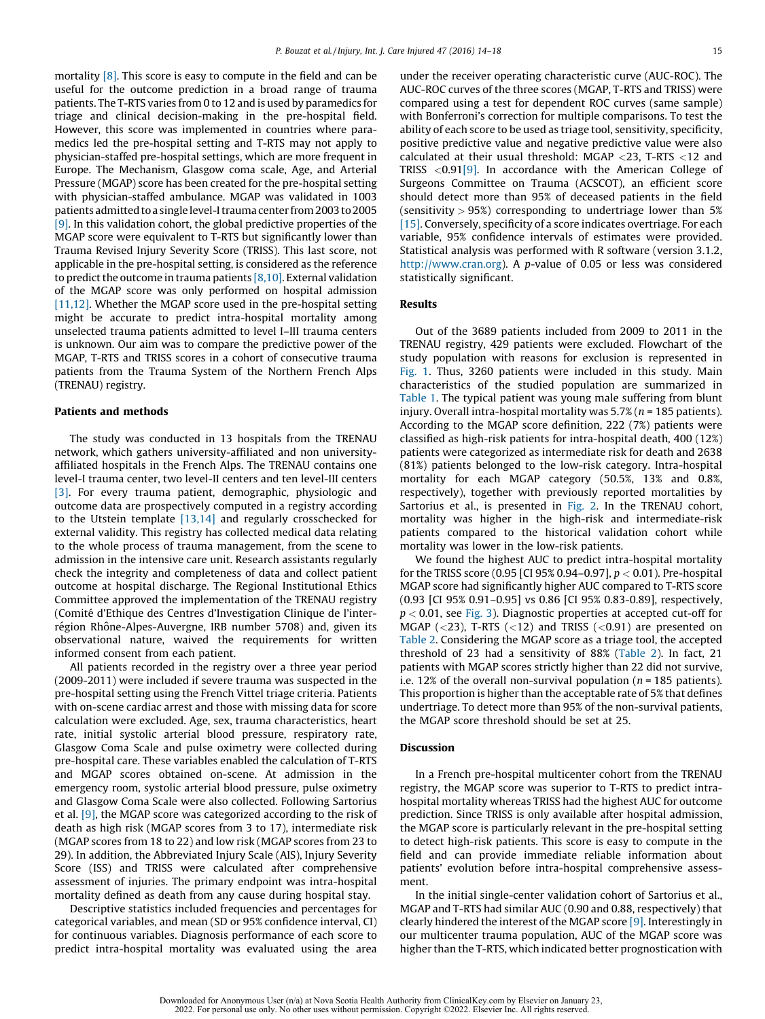mortality [\[8\].](#page-4-0) This score is easy to compute in the field and can be useful for the outcome prediction in a broad range of trauma patients. The T-RTS varies from 0 to 12 and is used by paramedics for triage and clinical decision-making in the pre-hospital field. However, this score was implemented in countries where paramedics led the pre-hospital setting and T-RTS may not apply to physician-staffed pre-hospital settings, which are more frequent in Europe. The Mechanism, Glasgow coma scale, Age, and Arterial Pressure (MGAP) score has been created for the pre-hospital setting with physician-staffed ambulance. MGAP was validated in 1003 patients admitted to a single level-I trauma center from 2003 to 2005 [\[9\]](#page-4-0). In this validation cohort, the global predictive properties of the MGAP score were equivalent to T-RTS but significantly lower than Trauma Revised Injury Severity Score (TRISS). This last score, not applicable in the pre-hospital setting, is considered as the reference to predict the outcome in trauma patients  $[8,10]$ . External validation of the MGAP score was only performed on hospital admission [\[11,12\]](#page-4-0). Whether the MGAP score used in the pre-hospital setting might be accurate to predict intra-hospital mortality among unselected trauma patients admitted to level I–III trauma centers is unknown. Our aim was to compare the predictive power of the MGAP, T-RTS and TRISS scores in a cohort of consecutive trauma patients from the Trauma System of the Northern French Alps (TRENAU) registry.

## Patients and methods

The study was conducted in 13 hospitals from the TRENAU network, which gathers university-affiliated and non universityaffiliated hospitals in the French Alps. The TRENAU contains one level-I trauma center, two level-II centers and ten level-III centers [\[3\]](#page-4-0). For every trauma patient, demographic, physiologic and outcome data are prospectively computed in a registry according to the Utstein template [\[13,14\]](#page-4-0) and regularly crosschecked for external validity. This registry has collected medical data relating to the whole process of trauma management, from the scene to admission in the intensive care unit. Research assistants regularly check the integrity and completeness of data and collect patient outcome at hospital discharge. The Regional Institutional Ethics Committee approved the implementation of the TRENAU registry (Comité d'Ethique des Centres d'Investigation Clinique de l'interrégion Rhône-Alpes-Auvergne, IRB number 5708) and, given its observational nature, waived the requirements for written informed consent from each patient.

All patients recorded in the registry over a three year period (2009-2011) were included if severe trauma was suspected in the pre-hospital setting using the French Vittel triage criteria. Patients with on-scene cardiac arrest and those with missing data for score calculation were excluded. Age, sex, trauma characteristics, heart rate, initial systolic arterial blood pressure, respiratory rate, Glasgow Coma Scale and pulse oximetry were collected during pre-hospital care. These variables enabled the calculation of T-RTS and MGAP scores obtained on-scene. At admission in the emergency room, systolic arterial blood pressure, pulse oximetry and Glasgow Coma Scale were also collected. Following Sartorius et al. [\[9\]](#page-4-0), the MGAP score was categorized according to the risk of death as high risk (MGAP scores from 3 to 17), intermediate risk (MGAP scores from 18 to 22) and low risk (MGAP scores from 23 to 29). In addition, the Abbreviated Injury Scale (AIS), Injury Severity Score (ISS) and TRISS were calculated after comprehensive assessment of injuries. The primary endpoint was intra-hospital mortality defined as death from any cause during hospital stay.

Descriptive statistics included frequencies and percentages for categorical variables, and mean (SD or 95% confidence interval, CI) for continuous variables. Diagnosis performance of each score to predict intra-hospital mortality was evaluated using the area under the receiver operating characteristic curve (AUC-ROC). The AUC-ROC curves of the three scores (MGAP, T-RTS and TRISS) were compared using a test for dependent ROC curves (same sample) with Bonferroni's correction for multiple comparisons. To test the ability of each score to be used as triage tool, sensitivity, specificity, positive predictive value and negative predictive value were also calculated at their usual threshold: MGAP <23, T-RTS <12 and TRISS <0.91[\[9\]](#page-4-0). In accordance with the American College of Surgeons Committee on Trauma (ACSCOT), an efficient score should detect more than 95% of deceased patients in the field (sensitivity  $> 95\%$ ) corresponding to undertriage lower than 5% [\[15\]](#page-4-0). Conversely, specificity of a score indicates overtriage. For each variable, 95% confidence intervals of estimates were provided. Statistical analysis was performed with R software (version 3.1.2, [http://www.cran.org\)](http://www.cran.org/). A p-value of 0.05 or less was considered statistically significant.

#### Results

Out of the 3689 patients included from 2009 to 2011 in the TRENAU registry, 429 patients were excluded. Flowchart of the study population with reasons for exclusion is represented in [Fig.](#page-2-0) 1. Thus, 3260 patients were included in this study. Main characteristics of the studied population are summarized in [Table](#page-2-0) 1. The typical patient was young male suffering from blunt injury. Overall intra-hospital mortality was  $5.7\%$  ( $n = 185$  patients). According to the MGAP score definition, 222 (7%) patients were classified as high-risk patients for intra-hospital death, 400 (12%) patients were categorized as intermediate risk for death and 2638 (81%) patients belonged to the low-risk category. Intra-hospital mortality for each MGAP category (50.5%, 13% and 0.8%, respectively), together with previously reported mortalities by Sartorius et al., is presented in [Fig.](#page-2-0) 2. In the TRENAU cohort, mortality was higher in the high-risk and intermediate-risk patients compared to the historical validation cohort while mortality was lower in the low-risk patients.

We found the highest AUC to predict intra-hospital mortality for the TRISS score (0.95 [CI 95% 0.94–0.97],  $p < 0.01$ ). Pre-hospital MGAP score had significantly higher AUC compared to T-RTS score (0.93 [CI 95% 0.91–0.95] vs 0.86 [CI 95% 0.83-0.89], respectively,  $p < 0.01$ , see [Fig.](#page-3-0) 3). Diagnostic properties at accepted cut-off for MGAP ( $<$ 23), T-RTS ( $<$ 12) and TRISS ( $<$ 0.91) are presented on [Table](#page-3-0) 2. Considering the MGAP score as a triage tool, the accepted threshold of 23 had a sensitivity of 88% [\(Table](#page-3-0) 2). In fact, 21 patients with MGAP scores strictly higher than 22 did not survive, i.e. 12% of the overall non-survival population ( $n = 185$  patients). This proportion is higher than the acceptable rate of 5% that defines undertriage. To detect more than 95% of the non-survival patients, the MGAP score threshold should be set at 25.

## Discussion

In a French pre-hospital multicenter cohort from the TRENAU registry, the MGAP score was superior to T-RTS to predict intrahospital mortality whereas TRISS had the highest AUC for outcome prediction. Since TRISS is only available after hospital admission, the MGAP score is particularly relevant in the pre-hospital setting to detect high-risk patients. This score is easy to compute in the field and can provide immediate reliable information about patients' evolution before intra-hospital comprehensive assessment.

In the initial single-center validation cohort of Sartorius et al., MGAP and T-RTS had similar AUC (0.90 and 0.88, respectively) that clearly hindered the interest of the MGAP score [\[9\]](#page-4-0). Interestingly in our multicenter trauma population, AUC of the MGAP score was higher than the T-RTS, which indicated better prognostication with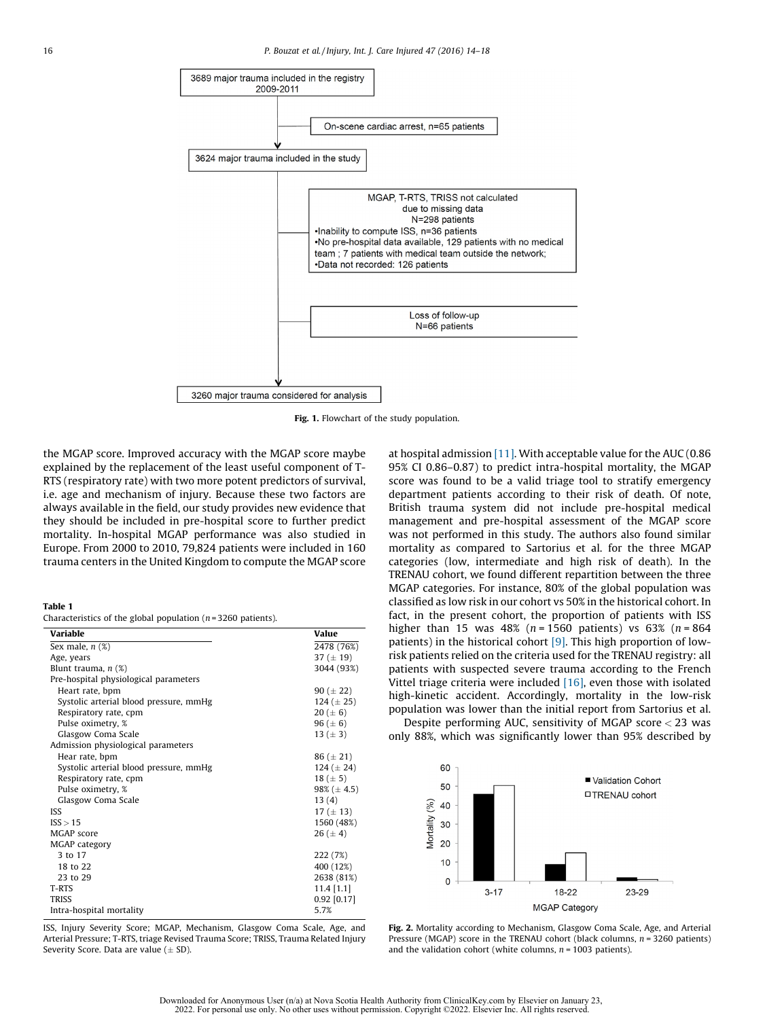<span id="page-2-0"></span>

Fig. 1. Flowchart of the study population.

the MGAP score. Improved accuracy with the MGAP score maybe explained by the replacement of the least useful component of T-RTS (respiratory rate) with two more potent predictors of survival, i.e. age and mechanism of injury. Because these two factors are always available in the field, our study provides new evidence that they should be included in pre-hospital score to further predict mortality. In-hospital MGAP performance was also studied in Europe. From 2000 to 2010, 79,824 patients were included in 160 trauma centers in the United Kingdom to compute the MGAP score

## Table 1

Characteristics of the global population ( $n = 3260$  patients).

| Variable                               | Value            |
|----------------------------------------|------------------|
| Sex male, $n$ $(\%)$                   | 2478 (76%)       |
| Age, years                             | 37 ( $\pm$ 19)   |
| Blunt trauma, $n$ $(\%)$               | 3044 (93%)       |
| Pre-hospital physiological parameters  |                  |
| Heart rate, bpm                        | 90 ( $\pm$ 22)   |
| Systolic arterial blood pressure, mmHg | $124 (\pm 25)$   |
| Respiratory rate, cpm                  | $20 (\pm 6)$     |
| Pulse oximetry, %                      | 96 ( $\pm$ 6)    |
| Glasgow Coma Scale                     | 13 ( $\pm$ 3)    |
| Admission physiological parameters     |                  |
| Hear rate, bpm                         | $86 (\pm 21)$    |
| Systolic arterial blood pressure, mmHg | 124 $(\pm 24)$   |
| Respiratory rate, cpm                  | $18 (\pm 5)$     |
| Pulse oximetry, %                      | $98\% (\pm 4.5)$ |
| Glasgow Coma Scale                     | 13(4)            |
| ISS                                    | 17 ( $\pm$ 13)   |
| ISS > 15                               | 1560 (48%)       |
| MGAP score                             | $26 (\pm 4)$     |
| MGAP category                          |                  |
| 3 to 17                                | 222 (7%)         |
| 18 to 22                               | 400 (12%)        |
| 23 to 29                               | 2638 (81%)       |
| T-RTS                                  | $11.4$ [1.1]     |
| <b>TRISS</b>                           | $0.92$ [0.17]    |
| Intra-hospital mortality               | 5.7%             |

ISS, Injury Severity Score; MGAP, Mechanism, Glasgow Coma Scale, Age, and Arterial Pressure; T-RTS, triage Revised Trauma Score; TRISS, Trauma Related Injury Severity Score. Data are value  $(\pm SD)$ .

at hospital admission [\[11\].](#page-4-0) With acceptable value for the AUC (0.86 95% CI 0.86–0.87) to predict intra-hospital mortality, the MGAP score was found to be a valid triage tool to stratify emergency department patients according to their risk of death. Of note, British trauma system did not include pre-hospital medical management and pre-hospital assessment of the MGAP score was not performed in this study. The authors also found similar mortality as compared to Sartorius et al. for the three MGAP categories (low, intermediate and high risk of death). In the TRENAU cohort, we found different repartition between the three MGAP categories. For instance, 80% of the global population was classified as low risk in our cohort vs 50% in the historical cohort. In fact, in the present cohort, the proportion of patients with ISS higher than 15 was 48% ( $n = 1560$  patients) vs 63% ( $n = 864$ patients) in the historical cohort [\[9\]](#page-4-0). This high proportion of lowrisk patients relied on the criteria used for the TRENAU registry: all patients with suspected severe trauma according to the French Vittel triage criteria were included  $[16]$ , even those with isolated high-kinetic accident. Accordingly, mortality in the low-risk population was lower than the initial report from Sartorius et al.

Despite performing AUC, sensitivity of MGAP score < 23 was only 88%, which was significantly lower than 95% described by



Fig. 2. Mortality according to Mechanism, Glasgow Coma Scale, Age, and Arterial Pressure (MGAP) score in the TRENAU cohort (black columns,  $n = 3260$  patients) and the validation cohort (white columns,  $n = 1003$  patients).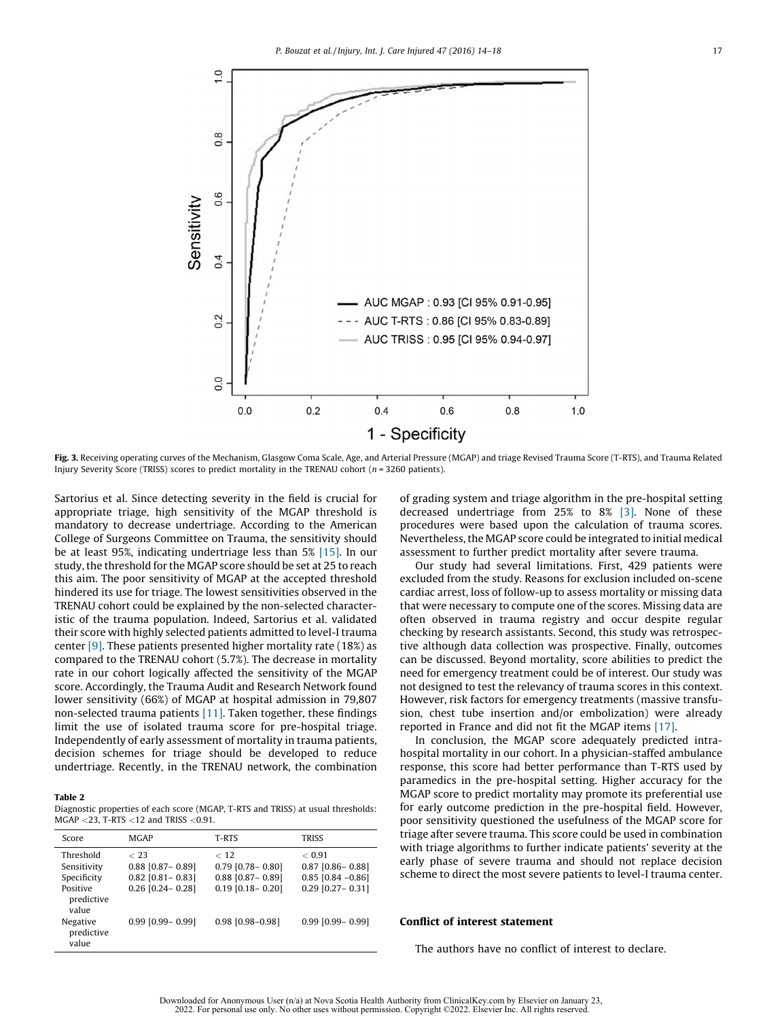<span id="page-3-0"></span>

Fig. 3. Receiving operating curves of the Mechanism, Glasgow Coma Scale, Age, and Arterial Pressure (MGAP) and triage Revised Trauma Score (T-RTS), and Trauma Related Injury Severity Score (TRISS) scores to predict mortality in the TRENAU cohort ( $n = 3260$  patients).

Sartorius et al. Since detecting severity in the field is crucial for appropriate triage, high sensitivity of the MGAP threshold is mandatory to decrease undertriage. According to the American College of Surgeons Committee on Trauma, the sensitivity should be at least 95%, indicating undertriage less than 5% [\[15\]](#page-4-0). In our study, the threshold for the MGAP score should be set at 25 to reach this aim. The poor sensitivity of MGAP at the accepted threshold hindered its use for triage. The lowest sensitivities observed in the TRENAU cohort could be explained by the non-selected characteristic of the trauma population. Indeed, Sartorius et al. validated their score with highly selected patients admitted to level-I trauma center [\[9\].](#page-4-0) These patients presented higher mortality rate (18%) as compared to the TRENAU cohort (5.7%). The decrease in mortality rate in our cohort logically affected the sensitivity of the MGAP score. Accordingly, the Trauma Audit and Research Network found lower sensitivity (66%) of MGAP at hospital admission in 79,807 non-selected trauma patients [\[11\]](#page-4-0). Taken together, these findings limit the use of isolated trauma score for pre-hospital triage. Independently of early assessment of mortality in trauma patients, decision schemes for triage should be developed to reduce undertriage. Recently, in the TRENAU network, the combination

## Table 2

Diagnostic properties of each score (MGAP, T-RTS and TRISS) at usual thresholds: MGAP <23, T-RTS <12 and TRISS <0.91.

| Score                                                             | <b>MGAP</b>                                                                  | T-RTS                                                                         | <b>TRISS</b>                                                                 |
|-------------------------------------------------------------------|------------------------------------------------------------------------------|-------------------------------------------------------------------------------|------------------------------------------------------------------------------|
| Threshold<br>Sensitivity<br>Specificity<br>Positive<br>predictive | $<$ 23<br>$0.88$ [0.87 - 0.89]<br>$0.82$ [0.81 - 0.83]<br>$0.26$ [0.24-0.28] | < 12<br>$0.79$ [0.78 - 0.80]<br>$0.88$ [0.87- 0.89]<br>$0.19$ $[0.18 - 0.20]$ | < 0.91<br>$0.87$ [0.86 - 0.88]<br>$0.85$ [0.84 -0.86]<br>$0.29$ [0.27- 0.31] |
| value<br>Negative<br>predictive<br>value                          | $0.99$ $[0.99 - 0.99]$                                                       | $0.98$ [0.98-0.98]                                                            | $0.99$ [0.99 - 0.99]                                                         |

of grading system and triage algorithm in the pre-hospital setting decreased undertriage from 25% to 8% [\[3\].](#page-4-0) None of these procedures were based upon the calculation of trauma scores. Nevertheless, the MGAP score could be integrated to initial medical assessment to further predict mortality after severe trauma.

Our study had several limitations. First, 429 patients were excluded from the study. Reasons for exclusion included on-scene cardiac arrest, loss of follow-up to assess mortality or missing data that were necessary to compute one of the scores. Missing data are often observed in trauma registry and occur despite regular checking by research assistants. Second, this study was retrospective although data collection was prospective. Finally, outcomes can be discussed. Beyond mortality, score abilities to predict the need for emergency treatment could be of interest. Our study was not designed to test the relevancy of trauma scores in this context. However, risk factors for emergency treatments (massive transfusion, chest tube insertion and/or embolization) were already reported in France and did not fit the MGAP items [\[17\]](#page-4-0).

In conclusion, the MGAP score adequately predicted intrahospital mortality in our cohort. In a physician-staffed ambulance response, this score had better performance than T-RTS used by paramedics in the pre-hospital setting. Higher accuracy for the MGAP score to predict mortality may promote its preferential use for early outcome prediction in the pre-hospital field. However, poor sensitivity questioned the usefulness of the MGAP score for triage after severe trauma. This score could be used in combination with triage algorithms to further indicate patients' severity at the early phase of severe trauma and should not replace decision scheme to direct the most severe patients to level-I trauma center.

## Conflict of interest statement

The authors have no conflict of interest to declare.